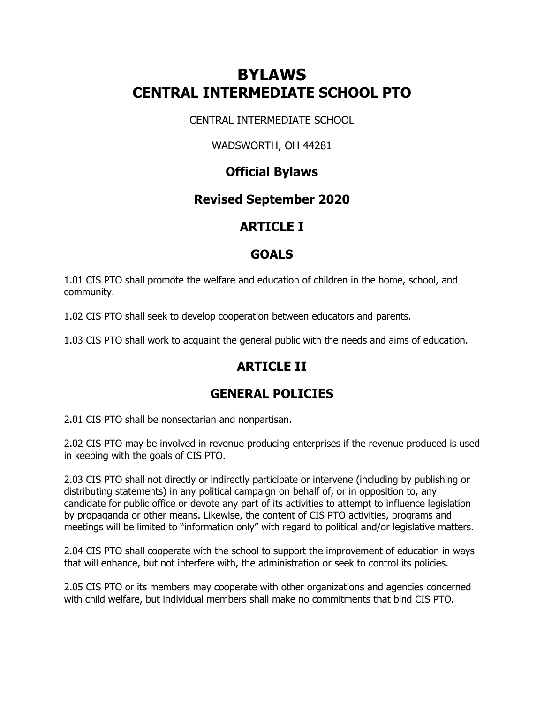# **BYLAWS CENTRAL INTERMEDIATE SCHOOL PTO**

CENTRAL INTERMEDIATE SCHOOL

#### WADSWORTH, OH 44281

### **Official Bylaws**

#### **Revised September 2020**

### **ARTICLE I**

### **GOALS**

1.01 CIS PTO shall promote the welfare and education of children in the home, school, and community.

1.02 CIS PTO shall seek to develop cooperation between educators and parents.

1.03 CIS PTO shall work to acquaint the general public with the needs and aims of education.

## **ARTICLE II**

### **GENERAL POLICIES**

2.01 CIS PTO shall be nonsectarian and nonpartisan.

2.02 CIS PTO may be involved in revenue producing enterprises if the revenue produced is used in keeping with the goals of CIS PTO.

2.03 CIS PTO shall not directly or indirectly participate or intervene (including by publishing or distributing statements) in any political campaign on behalf of, or in opposition to, any candidate for public office or devote any part of its activities to attempt to influence legislation by propaganda or other means. Likewise, the content of CIS PTO activities, programs and meetings will be limited to "information only" with regard to political and/or legislative matters.

2.04 CIS PTO shall cooperate with the school to support the improvement of education in ways that will enhance, but not interfere with, the administration or seek to control its policies.

2.05 CIS PTO or its members may cooperate with other organizations and agencies concerned with child welfare, but individual members shall make no commitments that bind CIS PTO.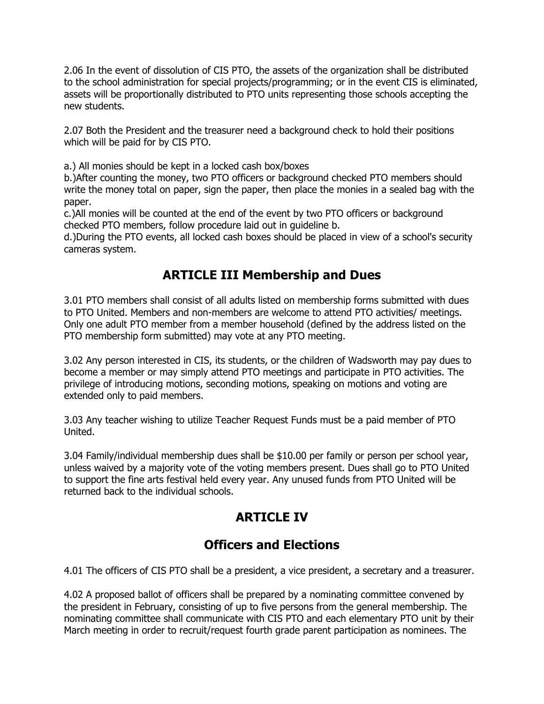2.06 In the event of dissolution of CIS PTO, the assets of the organization shall be distributed to the school administration for special projects/programming; or in the event CIS is eliminated, assets will be proportionally distributed to PTO units representing those schools accepting the new students.

2.07 Both the President and the treasurer need a background check to hold their positions which will be paid for by CIS PTO.

a.) All monies should be kept in a locked cash box/boxes

b.)After counting the money, two PTO officers or background checked PTO members should write the money total on paper, sign the paper, then place the monies in a sealed bag with the paper.

c.)All monies will be counted at the end of the event by two PTO officers or background checked PTO members, follow procedure laid out in guideline b.

d.)During the PTO events, all locked cash boxes should be placed in view of a school's security cameras system.

### **ARTICLE III Membership and Dues**

3.01 PTO members shall consist of all adults listed on membership forms submitted with dues to PTO United. Members and non-members are welcome to attend PTO activities/ meetings. Only one adult PTO member from a member household (defined by the address listed on the PTO membership form submitted) may vote at any PTO meeting.

3.02 Any person interested in CIS, its students, or the children of Wadsworth may pay dues to become a member or may simply attend PTO meetings and participate in PTO activities. The privilege of introducing motions, seconding motions, speaking on motions and voting are extended only to paid members.

3.03 Any teacher wishing to utilize Teacher Request Funds must be a paid member of PTO United.

3.04 Family/individual membership dues shall be \$10.00 per family or person per school year, unless waived by a majority vote of the voting members present. Dues shall go to PTO United to support the fine arts festival held every year. Any unused funds from PTO United will be returned back to the individual schools.

## **ARTICLE IV**

### **Officers and Elections**

4.01 The officers of CIS PTO shall be a president, a vice president, a secretary and a treasurer.

4.02 A proposed ballot of officers shall be prepared by a nominating committee convened by the president in February, consisting of up to five persons from the general membership. The nominating committee shall communicate with CIS PTO and each elementary PTO unit by their March meeting in order to recruit/request fourth grade parent participation as nominees. The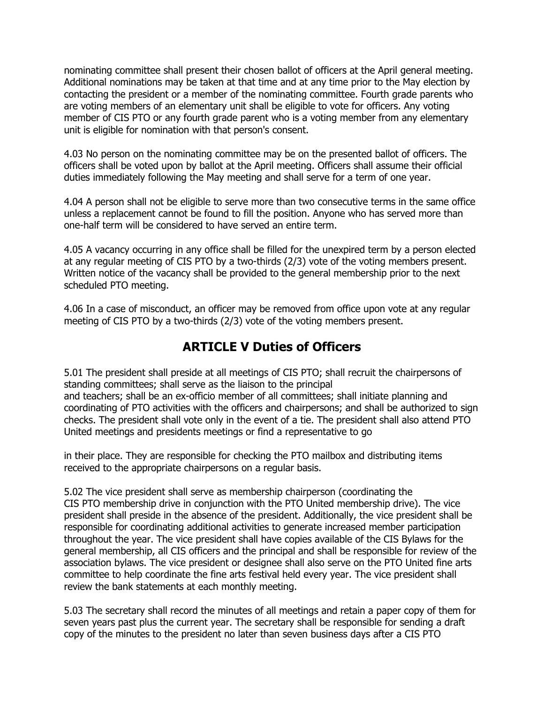nominating committee shall present their chosen ballot of officers at the April general meeting. Additional nominations may be taken at that time and at any time prior to the May election by contacting the president or a member of the nominating committee. Fourth grade parents who are voting members of an elementary unit shall be eligible to vote for officers. Any voting member of CIS PTO or any fourth grade parent who is a voting member from any elementary unit is eligible for nomination with that person's consent.

4.03 No person on the nominating committee may be on the presented ballot of officers. The officers shall be voted upon by ballot at the April meeting. Officers shall assume their official duties immediately following the May meeting and shall serve for a term of one year.

4.04 A person shall not be eligible to serve more than two consecutive terms in the same office unless a replacement cannot be found to fill the position. Anyone who has served more than one-half term will be considered to have served an entire term.

4.05 A vacancy occurring in any office shall be filled for the unexpired term by a person elected at any regular meeting of CIS PTO by a two-thirds (2/3) vote of the voting members present. Written notice of the vacancy shall be provided to the general membership prior to the next scheduled PTO meeting.

4.06 In a case of misconduct, an officer may be removed from office upon vote at any regular meeting of CIS PTO by a two-thirds (2/3) vote of the voting members present.

#### **ARTICLE V Duties of Officers**

5.01 The president shall preside at all meetings of CIS PTO; shall recruit the chairpersons of standing committees; shall serve as the liaison to the principal and teachers; shall be an ex-officio member of all committees; shall initiate planning and coordinating of PTO activities with the officers and chairpersons; and shall be authorized to sign checks. The president shall vote only in the event of a tie. The president shall also attend PTO United meetings and presidents meetings or find a representative to go

in their place. They are responsible for checking the PTO mailbox and distributing items received to the appropriate chairpersons on a regular basis.

5.02 The vice president shall serve as membership chairperson (coordinating the CIS PTO membership drive in conjunction with the PTO United membership drive). The vice president shall preside in the absence of the president. Additionally, the vice president shall be responsible for coordinating additional activities to generate increased member participation throughout the year. The vice president shall have copies available of the CIS Bylaws for the general membership, all CIS officers and the principal and shall be responsible for review of the association bylaws. The vice president or designee shall also serve on the PTO United fine arts committee to help coordinate the fine arts festival held every year. The vice president shall review the bank statements at each monthly meeting.

5.03 The secretary shall record the minutes of all meetings and retain a paper copy of them for seven years past plus the current year. The secretary shall be responsible for sending a draft copy of the minutes to the president no later than seven business days after a CIS PTO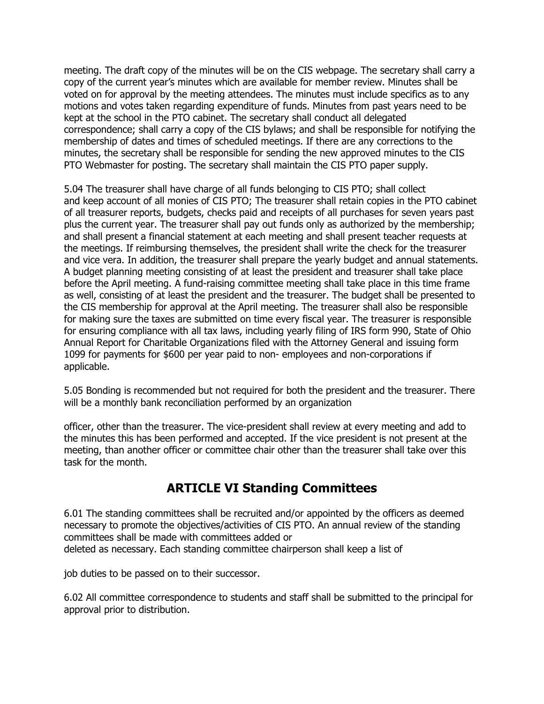meeting. The draft copy of the minutes will be on the CIS webpage. The secretary shall carry a copy of the current year's minutes which are available for member review. Minutes shall be voted on for approval by the meeting attendees. The minutes must include specifics as to any motions and votes taken regarding expenditure of funds. Minutes from past years need to be kept at the school in the PTO cabinet. The secretary shall conduct all delegated correspondence; shall carry a copy of the CIS bylaws; and shall be responsible for notifying the membership of dates and times of scheduled meetings. If there are any corrections to the minutes, the secretary shall be responsible for sending the new approved minutes to the CIS PTO Webmaster for posting. The secretary shall maintain the CIS PTO paper supply.

5.04 The treasurer shall have charge of all funds belonging to CIS PTO; shall collect and keep account of all monies of CIS PTO; The treasurer shall retain copies in the PTO cabinet of all treasurer reports, budgets, checks paid and receipts of all purchases for seven years past plus the current year. The treasurer shall pay out funds only as authorized by the membership; and shall present a financial statement at each meeting and shall present teacher requests at the meetings. If reimbursing themselves, the president shall write the check for the treasurer and vice vera. In addition, the treasurer shall prepare the yearly budget and annual statements. A budget planning meeting consisting of at least the president and treasurer shall take place before the April meeting. A fund-raising committee meeting shall take place in this time frame as well, consisting of at least the president and the treasurer. The budget shall be presented to the CIS membership for approval at the April meeting. The treasurer shall also be responsible for making sure the taxes are submitted on time every fiscal year. The treasurer is responsible for ensuring compliance with all tax laws, including yearly filing of IRS form 990, State of Ohio Annual Report for Charitable Organizations filed with the Attorney General and issuing form 1099 for payments for \$600 per year paid to non- employees and non-corporations if applicable.

5.05 Bonding is recommended but not required for both the president and the treasurer. There will be a monthly bank reconciliation performed by an organization

officer, other than the treasurer. The vice-president shall review at every meeting and add to the minutes this has been performed and accepted. If the vice president is not present at the meeting, than another officer or committee chair other than the treasurer shall take over this task for the month.

### **ARTICLE VI Standing Committees**

6.01 The standing committees shall be recruited and/or appointed by the officers as deemed necessary to promote the objectives/activities of CIS PTO. An annual review of the standing committees shall be made with committees added or deleted as necessary. Each standing committee chairperson shall keep a list of

job duties to be passed on to their successor.

6.02 All committee correspondence to students and staff shall be submitted to the principal for approval prior to distribution.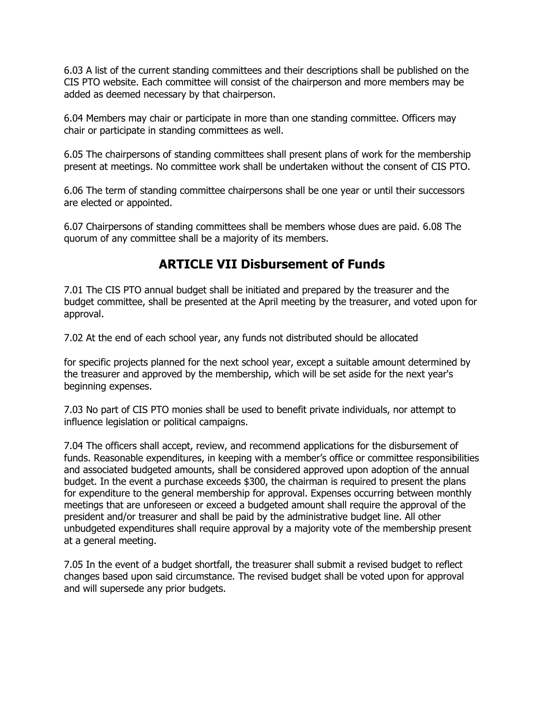6.03 A list of the current standing committees and their descriptions shall be published on the CIS PTO website. Each committee will consist of the chairperson and more members may be added as deemed necessary by that chairperson.

6.04 Members may chair or participate in more than one standing committee. Officers may chair or participate in standing committees as well.

6.05 The chairpersons of standing committees shall present plans of work for the membership present at meetings. No committee work shall be undertaken without the consent of CIS PTO.

6.06 The term of standing committee chairpersons shall be one year or until their successors are elected or appointed.

6.07 Chairpersons of standing committees shall be members whose dues are paid. 6.08 The quorum of any committee shall be a majority of its members.

#### **ARTICLE VII Disbursement of Funds**

7.01 The CIS PTO annual budget shall be initiated and prepared by the treasurer and the budget committee, shall be presented at the April meeting by the treasurer, and voted upon for approval.

7.02 At the end of each school year, any funds not distributed should be allocated

for specific projects planned for the next school year, except a suitable amount determined by the treasurer and approved by the membership, which will be set aside for the next year's beginning expenses.

7.03 No part of CIS PTO monies shall be used to benefit private individuals, nor attempt to influence legislation or political campaigns.

7.04 The officers shall accept, review, and recommend applications for the disbursement of funds. Reasonable expenditures, in keeping with a member's office or committee responsibilities and associated budgeted amounts, shall be considered approved upon adoption of the annual budget. In the event a purchase exceeds \$300, the chairman is required to present the plans for expenditure to the general membership for approval. Expenses occurring between monthly meetings that are unforeseen or exceed a budgeted amount shall require the approval of the president and/or treasurer and shall be paid by the administrative budget line. All other unbudgeted expenditures shall require approval by a majority vote of the membership present at a general meeting.

7.05 In the event of a budget shortfall, the treasurer shall submit a revised budget to reflect changes based upon said circumstance. The revised budget shall be voted upon for approval and will supersede any prior budgets.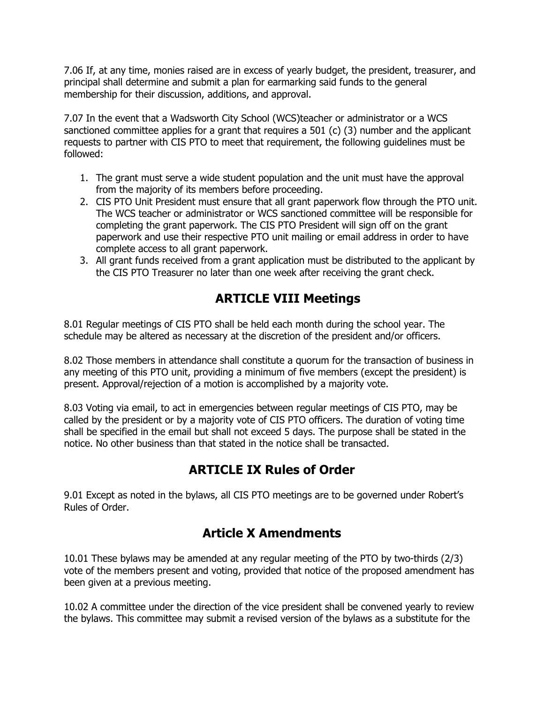7.06 If, at any time, monies raised are in excess of yearly budget, the president, treasurer, and principal shall determine and submit a plan for earmarking said funds to the general membership for their discussion, additions, and approval.

7.07 In the event that a Wadsworth City School (WCS)teacher or administrator or a WCS sanctioned committee applies for a grant that requires a 501 (c) (3) number and the applicant requests to partner with CIS PTO to meet that requirement, the following guidelines must be followed:

- 1. The grant must serve a wide student population and the unit must have the approval from the majority of its members before proceeding.
- 2. CIS PTO Unit President must ensure that all grant paperwork flow through the PTO unit. The WCS teacher or administrator or WCS sanctioned committee will be responsible for completing the grant paperwork. The CIS PTO President will sign off on the grant paperwork and use their respective PTO unit mailing or email address in order to have complete access to all grant paperwork.
- 3. All grant funds received from a grant application must be distributed to the applicant by the CIS PTO Treasurer no later than one week after receiving the grant check.

### **ARTICLE VIII Meetings**

8.01 Regular meetings of CIS PTO shall be held each month during the school year. The schedule may be altered as necessary at the discretion of the president and/or officers.

8.02 Those members in attendance shall constitute a quorum for the transaction of business in any meeting of this PTO unit, providing a minimum of five members (except the president) is present. Approval/rejection of a motion is accomplished by a majority vote.

8.03 Voting via email, to act in emergencies between regular meetings of CIS PTO, may be called by the president or by a majority vote of CIS PTO officers. The duration of voting time shall be specified in the email but shall not exceed 5 days. The purpose shall be stated in the notice. No other business than that stated in the notice shall be transacted.

## **ARTICLE IX Rules of Order**

9.01 Except as noted in the bylaws, all CIS PTO meetings are to be governed under Robert's Rules of Order.

### **Article X Amendments**

10.01 These bylaws may be amended at any regular meeting of the PTO by two-thirds (2/3) vote of the members present and voting, provided that notice of the proposed amendment has been given at a previous meeting.

10.02 A committee under the direction of the vice president shall be convened yearly to review the bylaws. This committee may submit a revised version of the bylaws as a substitute for the